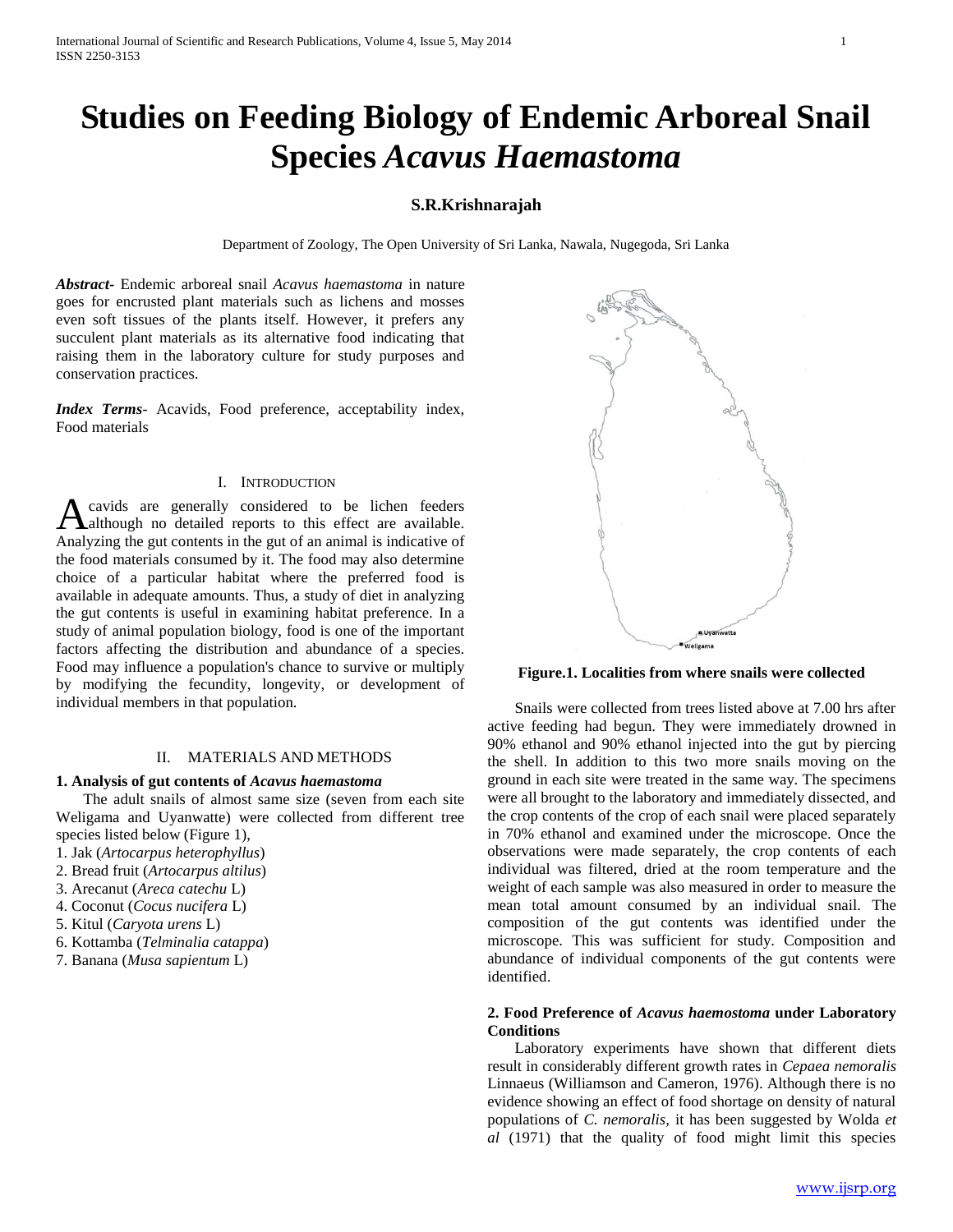# **Studies on Feeding Biology of Endemic Arboreal Snail Species** *Acavus Haemastoma*

## **S.R.Krishnarajah**

Department of Zoology, The Open University of Sri Lanka, Nawala, Nugegoda, Sri Lanka

*Abstract***-** Endemic arboreal snail *Acavus haemastoma* in nature goes for encrusted plant materials such as lichens and mosses even soft tissues of the plants itself. However, it prefers any succulent plant materials as its alternative food indicating that raising them in the laboratory culture for study purposes and conservation practices.

*Index Terms*- Acavids, Food preference, acceptability index, Food materials

#### I. INTRODUCTION

cavids are generally considered to be lichen feeders A cavids are generally considered to be lichen feeders and although no detailed reports to this effect are available. Analyzing the gut contents in the gut of an animal is indicative of the food materials consumed by it. The food may also determine choice of a particular habitat where the preferred food is available in adequate amounts. Thus, a study of diet in analyzing the gut contents is useful in examining habitat preference. In a study of animal population biology, food is one of the important factors affecting the distribution and abundance of a species. Food may influence a population's chance to survive or multiply by modifying the fecundity, longevity, or development of individual members in that population.

#### II. MATERIALS AND METHODS

### **1. Analysis of gut contents of** *Acavus haemastoma*

 The adult snails of almost same size (seven from each site Weligama and Uyanwatte) were collected from different tree species listed below (Figure 1),

- 1. Jak (*Artocarpus heterophyllus*)
- 2. Bread fruit (*Artocarpus altilus*)
- 3. Arecanut (*Areca catechu* L)
- 4. Coconut (*Cocus nucifera* L)
- 5. Kitul (*Caryota urens* L)
- 6. Kottamba (*Telminalia catappa*)
- 7. Banana (*Musa sapientum* L)



**Figure.1. Localities from where snails were collected**

 Snails were collected from trees listed above at 7.00 hrs after active feeding had begun. They were immediately drowned in 90% ethanol and 90% ethanol injected into the gut by piercing the shell. In addition to this two more snails moving on the ground in each site were treated in the same way. The specimens were all brought to the laboratory and immediately dissected, and the crop contents of the crop of each snail were placed separately in 70% ethanol and examined under the microscope. Once the observations were made separately, the crop contents of each individual was filtered, dried at the room temperature and the weight of each sample was also measured in order to measure the mean total amount consumed by an individual snail. The composition of the gut contents was identified under the microscope. This was sufficient for study. Composition and abundance of individual components of the gut contents were identified.

### **2. Food Preference of** *Acavus haemostoma* **under Laboratory Conditions**

 Laboratory experiments have shown that different diets result in considerably different growth rates in *Cepaea nemoralis*  Linnaeus (Williamson and Cameron, 1976). Although there is no evidence showing an effect of food shortage on density of natural populations of *C. nemoralis,* it has been suggested by Wolda *et al* (1971) that the quality of food might limit this species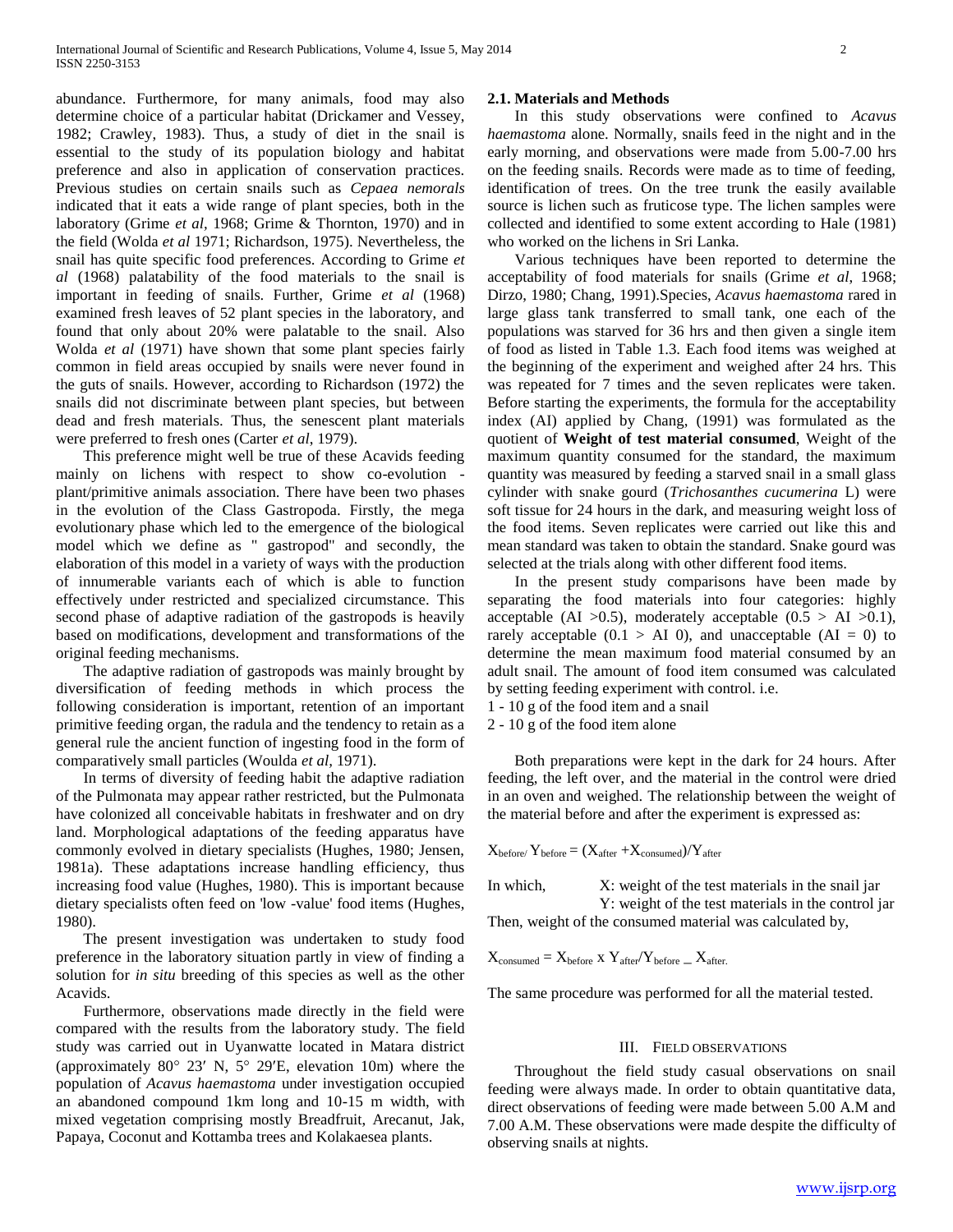abundance. Furthermore, for many animals, food may also determine choice of a particular habitat (Drickamer and Vessey, 1982; Crawley, 1983). Thus, a study of diet in the snail is essential to the study of its population biology and habitat preference and also in application of conservation practices. Previous studies on certain snails such as *Cepaea nemorals*  indicated that it eats a wide range of plant species, both in the laboratory (Grime *et al,* 1968; Grime & Thornton, 1970) and in the field (Wolda *et al* 1971; Richardson, 1975). Nevertheless, the snail has quite specific food preferences. According to Grime *et al* (1968) palatability of the food materials to the snail is important in feeding of snails. Further, Grime *et al* (1968) examined fresh leaves of 52 plant species in the laboratory, and found that only about 20% were palatable to the snail. Also Wolda *et al* (1971) have shown that some plant species fairly common in field areas occupied by snails were never found in the guts of snails. However, according to Richardson (1972) the snails did not discriminate between plant species, but between dead and fresh materials. Thus, the senescent plant materials were preferred to fresh ones (Carter *et al*, 1979).

 This preference might well be true of these Acavids feeding mainly on lichens with respect to show co-evolution plant/primitive animals association. There have been two phases in the evolution of the Class Gastropoda. Firstly, the mega evolutionary phase which led to the emergence of the biological model which we define as " gastropod" and secondly, the elaboration of this model in a variety of ways with the production of innumerable variants each of which is able to function effectively under restricted and specialized circumstance. This second phase of adaptive radiation of the gastropods is heavily based on modifications, development and transformations of the original feeding mechanisms.

 The adaptive radiation of gastropods was mainly brought by diversification of feeding methods in which process the following consideration is important, retention of an important primitive feeding organ, the radula and the tendency to retain as a general rule the ancient function of ingesting food in the form of comparatively small particles (Woulda *et al,* 1971).

 In terms of diversity of feeding habit the adaptive radiation of the Pulmonata may appear rather restricted, but the Pulmonata have colonized all conceivable habitats in freshwater and on dry land. Morphological adaptations of the feeding apparatus have commonly evolved in dietary specialists (Hughes, 1980; Jensen, 1981a). These adaptations increase handling efficiency, thus increasing food value (Hughes, 1980). This is important because dietary specialists often feed on 'low -value' food items (Hughes, 1980).

 The present investigation was undertaken to study food preference in the laboratory situation partly in view of finding a solution for *in situ* breeding of this species as well as the other Acavids.

 Furthermore, observations made directly in the field were compared with the results from the laboratory study. The field study was carried out in Uyanwatte located in Matara district (approximately  $80^{\circ}$  23' N,  $5^{\circ}$  29'E, elevation 10m) where the population of *Acavus haemastoma* under investigation occupied an abandoned compound 1km long and 10-15 m width, with mixed vegetation comprising mostly Breadfruit, Arecanut, Jak, Papaya, Coconut and Kottamba trees and Kolakaesea plants.

#### **2.1. Materials and Methods**

 In this study observations were confined to *Acavus haemastoma* alone. Normally, snails feed in the night and in the early morning, and observations were made from 5.00-7.00 hrs on the feeding snails. Records were made as to time of feeding, identification of trees. On the tree trunk the easily available source is lichen such as fruticose type. The lichen samples were collected and identified to some extent according to Hale (1981) who worked on the lichens in Sri Lanka.

 Various techniques have been reported to determine the acceptability of food materials for snails (Grime *et al*, 1968; Dirzo, 1980; Chang, 1991).Species, *Acavus haemastoma* rared in large glass tank transferred to small tank, one each of the populations was starved for 36 hrs and then given a single item of food as listed in Table 1.3. Each food items was weighed at the beginning of the experiment and weighed after 24 hrs. This was repeated for 7 times and the seven replicates were taken. Before starting the experiments, the formula for the acceptability index (AI) applied by Chang, (1991) was formulated as the quotient of **Weight of test material consumed**, Weight of the maximum quantity consumed for the standard, the maximum quantity was measured by feeding a starved snail in a small glass cylinder with snake gourd (*Trichosanthes cucumerina* L) were soft tissue for 24 hours in the dark, and measuring weight loss of the food items. Seven replicates were carried out like this and mean standard was taken to obtain the standard. Snake gourd was selected at the trials along with other different food items.

 In the present study comparisons have been made by separating the food materials into four categories: highly acceptable (AI  $>0.5$ ), moderately acceptable (0.5  $>$  AI  $>0.1$ ), rarely acceptable  $(0.1 > AI$  0), and unacceptable  $(AI = 0)$  to determine the mean maximum food material consumed by an adult snail. The amount of food item consumed was calculated by setting feeding experiment with control. i.e.

1 - 10 g of the food item and a snail

2 - 10 g of the food item alone

 Both preparations were kept in the dark for 24 hours. After feeding, the left over, and the material in the control were dried in an oven and weighed. The relationship between the weight of the material before and after the experiment is expressed as:

 $X_{before}/Y_{before} = (X_{after} + X_{consumed})/Y_{after}$ 

In which, X: weight of the test materials in the snail jar Y: weight of the test materials in the control jar Then, weight of the consumed material was calculated by,

$$
X_{\text{consumed}} = X_{\text{before}} \times Y_{\text{after}} / Y_{\text{before}} \_ X_{\text{after}}
$$

The same procedure was performed for all the material tested.

#### III. FIELD OBSERVATIONS

 Throughout the field study casual observations on snail feeding were always made. In order to obtain quantitative data, direct observations of feeding were made between 5.00 A.M and 7.00 A.M. These observations were made despite the difficulty of observing snails at nights.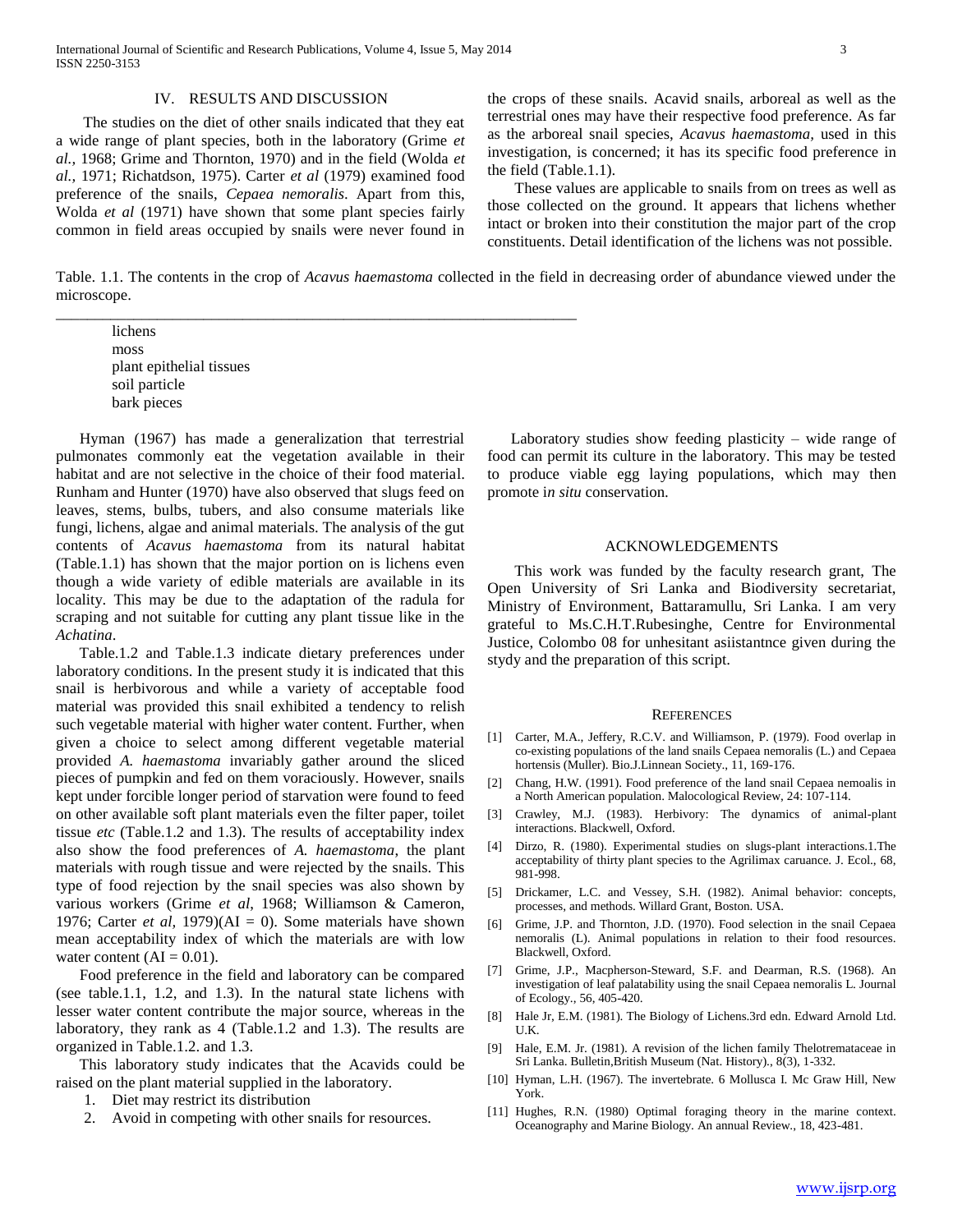\_\_\_\_\_\_\_\_\_\_\_\_\_\_\_\_\_\_\_\_\_\_\_\_\_\_\_\_\_\_\_\_\_\_\_\_\_\_\_\_\_\_\_\_\_\_\_\_\_\_\_\_\_\_\_\_\_\_\_\_\_\_\_\_\_\_\_

#### IV. RESULTS AND DISCUSSION

 The studies on the diet of other snails indicated that they eat a wide range of plant species, both in the laboratory (Grime *et al.,* 1968; Grime and Thornton, 1970) and in the field (Wolda *et al.,* 1971; Richatdson, 1975). Carter *et al* (1979) examined food preference of the snails, *Cepaea nemoralis*. Apart from this, Wolda *et al* (1971) have shown that some plant species fairly common in field areas occupied by snails were never found in

the crops of these snails. Acavid snails, arboreal as well as the terrestrial ones may have their respective food preference. As far as the arboreal snail species, *Acavus haemastoma,* used in this investigation, is concerned; it has its specific food preference in the field (Table.1.1).

 These values are applicable to snails from on trees as well as those collected on the ground. It appears that lichens whether intact or broken into their constitution the major part of the crop constituents. Detail identification of the lichens was not possible.

Table. 1.1. The contents in the crop of *Acavus haemastoma* collected in the field in decreasing order of abundance viewed under the microscope.

lichens moss plant epithelial tissues soil particle bark pieces

 Hyman (1967) has made a generalization that terrestrial pulmonates commonly eat the vegetation available in their habitat and are not selective in the choice of their food material. Runham and Hunter (1970) have also observed that slugs feed on leaves, stems, bulbs, tubers, and also consume materials like fungi, lichens, algae and animal materials. The analysis of the gut contents of *Acavus haemastoma* from its natural habitat (Table.1.1) has shown that the major portion on is lichens even though a wide variety of edible materials are available in its locality. This may be due to the adaptation of the radula for scraping and not suitable for cutting any plant tissue like in the *Achatina*.

 Table.1.2 and Table.1.3 indicate dietary preferences under laboratory conditions. In the present study it is indicated that this snail is herbivorous and while a variety of acceptable food material was provided this snail exhibited a tendency to relish such vegetable material with higher water content. Further, when given a choice to select among different vegetable material provided *A. haemastoma* invariably gather around the sliced pieces of pumpkin and fed on them voraciously. However, snails kept under forcible longer period of starvation were found to feed on other available soft plant materials even the filter paper, toilet tissue *etc* (Table.1.2 and 1.3). The results of acceptability index also show the food preferences of *A. haemastoma*, the plant materials with rough tissue and were rejected by the snails. This type of food rejection by the snail species was also shown by various workers (Grime *et al*, 1968; Williamson & Cameron, 1976; Carter *et al*, 1979)( $AI = 0$ ). Some materials have shown mean acceptability index of which the materials are with low water content  $(AI = 0.01)$ .

 Food preference in the field and laboratory can be compared (see table.1.1, 1.2, and 1.3). In the natural state lichens with lesser water content contribute the major source, whereas in the laboratory, they rank as 4 (Table.1.2 and 1.3). The results are organized in Table.1.2. and 1.3.

 This laboratory study indicates that the Acavids could be raised on the plant material supplied in the laboratory.

- 1. Diet may restrict its distribution
- 2. Avoid in competing with other snails for resources.

 Laboratory studies show feeding plasticity – wide range of food can permit its culture in the laboratory. This may be tested to produce viable egg laying populations, which may then promote i*n situ* conservation.

#### ACKNOWLEDGEMENTS

 This work was funded by the faculty research grant, The Open University of Sri Lanka and Biodiversity secretariat, Ministry of Environment, Battaramullu, Sri Lanka. I am very grateful to Ms.C.H.T.Rubesinghe, Centre for Environmental Justice, Colombo 08 for unhesitant asiistantnce given during the stydy and the preparation of this script.

#### **REFERENCES**

- [1] Carter, M.A., Jeffery, R.C.V. and Williamson, P. (1979). Food overlap in co-existing populations of the land snails Cepaea nemoralis (L.) and Cepaea hortensis (Muller). Bio.J.Linnean Society., 11, 169-176.
- [2] Chang, H.W. (1991). Food preference of the land snail Cepaea nemoalis in a North American population. Malocological Review, 24: 107-114.
- [3] Crawley, M.J. (1983). Herbivory: The dynamics of animal-plant interactions. Blackwell, Oxford.
- [4] Dirzo, R. (1980). Experimental studies on slugs-plant interactions.1.The acceptability of thirty plant species to the Agrilimax caruance. J. Ecol., 68, 981-998.
- [5] Drickamer, L.C. and Vessey, S.H. (1982). Animal behavior: concepts, processes, and methods. Willard Grant, Boston. USA.
- [6] Grime, J.P. and Thornton, J.D. (1970). Food selection in the snail Cepaea nemoralis (L). Animal populations in relation to their food resources. Blackwell, Oxford.
- [7] Grime, J.P., Macpherson-Steward, S.F. and Dearman, R.S. (1968). An investigation of leaf palatability using the snail Cepaea nemoralis L. Journal of Ecology., 56, 405-420.
- [8] Hale Jr, E.M. (1981). The Biology of Lichens.3rd edn. Edward Arnold Ltd. U.K.
- [9] Hale, E.M. Jr. (1981). A revision of the lichen family Thelotremataceae in Sri Lanka. Bulletin,British Museum (Nat. History)., 8(3), 1-332.
- [10] Hyman, L.H. (1967). The invertebrate. 6 Mollusca I. Mc Graw Hill, New York.
- [11] Hughes, R.N. (1980) Optimal foraging theory in the marine context. Oceanography and Marine Biology. An annual Review., 18, 423-481.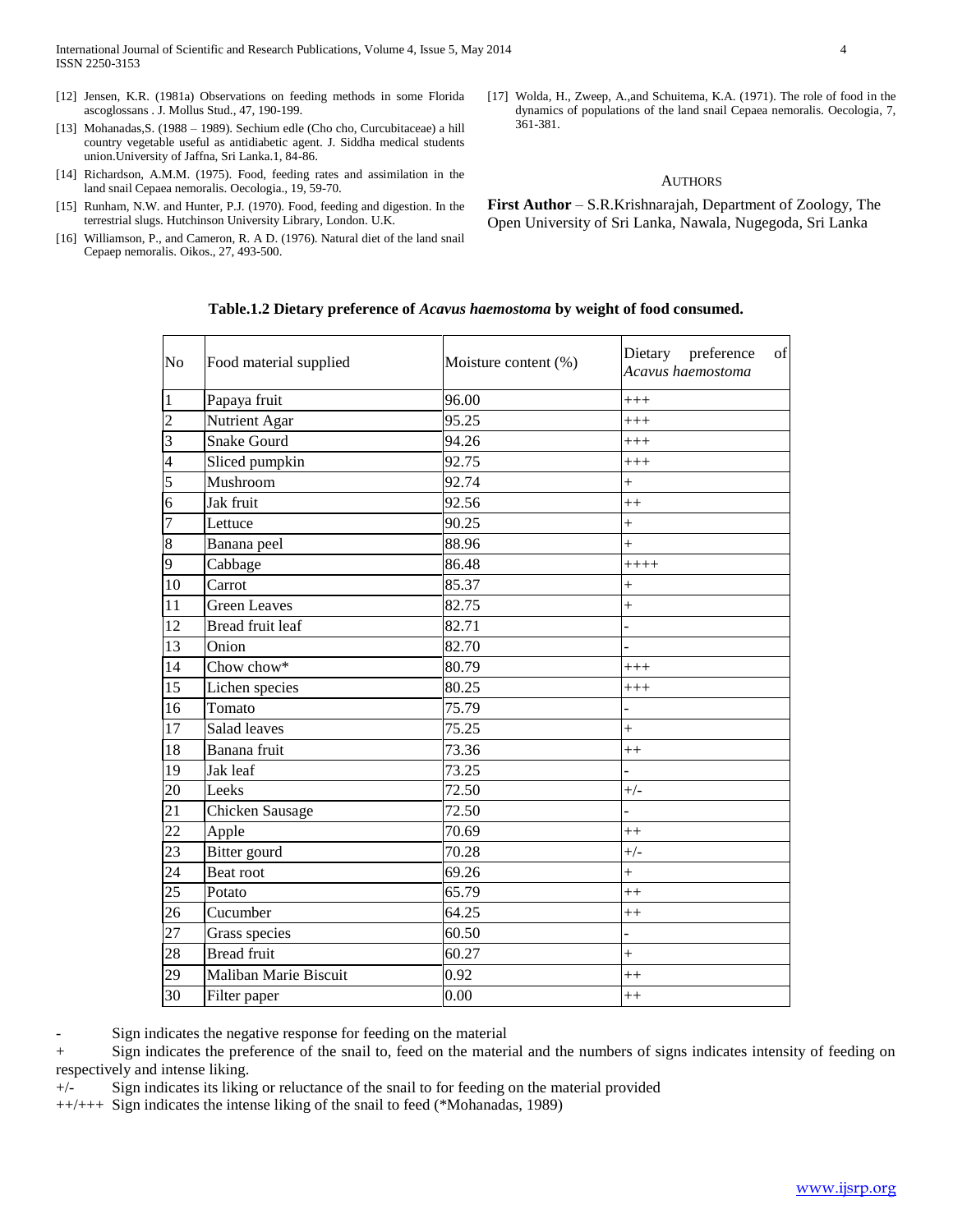- [12] Jensen, K.R. (1981a) Observations on feeding methods in some Florida ascoglossans . J. Mollus Stud., 47, 190-199.
- [13] Mohanadas,S. (1988 1989). Sechium edle (Cho cho, Curcubitaceae) a hill country vegetable useful as antidiabetic agent. J. Siddha medical students union.University of Jaffna, Sri Lanka.1, 84-86.
- [14] Richardson, A.M.M. (1975). Food, feeding rates and assimilation in the land snail Cepaea nemoralis. Oecologia., 19, 59-70.
- [15] Runham, N.W. and Hunter, P.J. (1970). Food, feeding and digestion. In the terrestrial slugs. Hutchinson University Library, London. U.K.
- [16] Williamson, P., and Cameron, R. A D. (1976). Natural diet of the land snail Cepaep nemoralis. Oikos., 27, 493-500.
- [17] Wolda, H., Zweep, A.,and Schuitema, K.A. (1971). The role of food in the dynamics of populations of the land snail Cepaea nemoralis. Oecologia, 7, 361-381.

### AUTHORS

**First Author** – S.R.Krishnarajah, Department of Zoology, The Open University of Sri Lanka, Nawala, Nugegoda, Sri Lanka

#### **Table.1.2 Dietary preference of** *Acavus haemostoma* **by weight of food consumed.**

| N <sub>o</sub>          | Food material supplied | Moisture content (%) | Dietary preference<br>of<br>Acavus haemostoma |
|-------------------------|------------------------|----------------------|-----------------------------------------------|
| $\overline{1}$          | Papaya fruit           | 96.00                | $++++$                                        |
| $\overline{c}$          | Nutrient Agar          | 95.25                | $^{+++}$                                      |
| $\overline{\mathbf{3}}$ | <b>Snake Gourd</b>     | 94.26                | $^{+++}$                                      |
| $\overline{4}$          | Sliced pumpkin         | 92.75                | $^{+++}$                                      |
| 5                       | Mushroom               | 92.74                | $\ddot{}$                                     |
| 6                       | Jak fruit              | 92.56                | $+$                                           |
| $\overline{7}$          | Lettuce                | 90.25                | $\ddot{}$                                     |
| 8                       | Banana peel            | 88.96                | $^{+}$                                        |
| 9                       | Cabbage                | 86.48                | $+++++$                                       |
| 10                      | Carrot                 | 85.37                | $^{+}$                                        |
| 11                      | <b>Green Leaves</b>    | 82.75                | $\ddot{}$                                     |
| 12                      | Bread fruit leaf       | 82.71                |                                               |
| 13                      | Onion                  | 82.70                |                                               |
| 14                      | Chow chow*             | 80.79                | $^{+++}$                                      |
| 15                      | Lichen species         | 80.25                | $+++$                                         |
| 16                      | Tomato                 | 75.79                |                                               |
| 17                      | Salad leaves           | 75.25                | $^{+}$                                        |
| 18                      | Banana fruit           | 73.36                | $++$                                          |
| 19                      | Jak leaf               | 73.25                |                                               |
| 20                      | Leeks                  | 72.50                | $+/-$                                         |
| 21                      | Chicken Sausage        | 72.50                |                                               |
| 22                      | Apple                  | 70.69                | $+$                                           |
| 23                      | Bitter gourd           | 70.28                | $+/-$                                         |
| 24                      | Beat root              | 69.26                | $\ddot{}$                                     |
| $\overline{25}$         | Potato                 | 65.79                | $+$                                           |
| 26                      | Cucumber               | 64.25                | $^{++}$                                       |
| $\overline{27}$         | Grass species          | 60.50                |                                               |
| 28                      | <b>Bread</b> fruit     | 60.27                | $\ddot{}$                                     |
| 29                      | Maliban Marie Biscuit  | 0.92                 | $^{++}$                                       |
| 30                      | Filter paper           | 0.00                 | $^{++}$                                       |

- Sign indicates the negative response for feeding on the material

+ Sign indicates the preference of the snail to, feed on the material and the numbers of signs indicates intensity of feeding on respectively and intense liking.

+/- Sign indicates its liking or reluctance of the snail to for feeding on the material provided

++/+++ Sign indicates the intense liking of the snail to feed (\*Mohanadas, 1989)